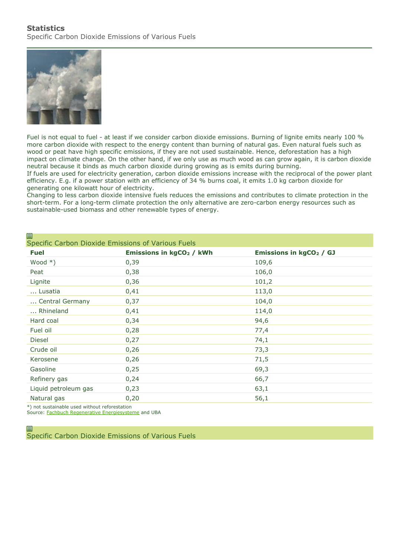

Fuel is not equal to fuel - at least if we consider carbon dioxide emissions. Burning of lignite emits nearly 100 % more carbon dioxide with respect to the energy content than burning of natural gas. Even natural fuels such as wood or peat have high specific emissions, if they are not used sustainable. Hence, deforestation has a high impact on climate change. On the other hand, if we only use as much wood as can grow again, it is carbon dioxide neutral because it binds as much carbon dioxide during growing as is emits during burning.

If fuels are used for electricity generation, carbon dioxide emissions increase with the reciprocal of the power plant efficiency. E.g. if a power station with an efficiency of 34 % burns coal, it emits 1.0 kg carbon dioxide for generating one kilowatt hour of electricity.

Changing to less carbon dioxide intensive fuels reduces the emissions and contributes to climate protection in the short-term. For a long-term climate protection the only alternative are zero-carbon energy resources such as sustainable-used biomass and other renewable types of energy.

| ⊟<br>Specific Carbon Dioxide Emissions of Various Fuels |                                      |                                     |
|---------------------------------------------------------|--------------------------------------|-------------------------------------|
| <b>Fuel</b>                                             | Emissions in kgCO <sub>2</sub> / kWh | Emissions in kgCO <sub>2</sub> / GJ |
| Wood $*)$                                               | 0,39                                 | 109,6                               |
| Peat                                                    | 0,38                                 | 106,0                               |
| Lignite                                                 | 0,36                                 | 101,2                               |
| Lusatia                                                 | 0,41                                 | 113,0                               |
| Central Germany                                         | 0,37                                 | 104,0                               |
| Rhineland                                               | 0,41                                 | 114,0                               |
| Hard coal                                               | 0,34                                 | 94,6                                |
| Fuel oil                                                | 0,28                                 | 77,4                                |
| <b>Diesel</b>                                           | 0,27                                 | 74,1                                |
| Crude oil                                               | 0,26                                 | 73,3                                |
| Kerosene                                                | 0,26                                 | 71,5                                |
| Gasoline                                                | 0,25                                 | 69,3                                |
| Refinery gas                                            | 0,24                                 | 66,7                                |
| Liquid petroleum gas                                    | 0,23                                 | 63,1                                |
| Natural gas                                             | 0,20                                 | 56,1                                |

\*) not sustainable used without reforestation

目

Source: [Fachbuch Regenerative Energiesysteme](https://www.volker-quaschning.de/publis/regen/index.php) and UBA

Specific Carbon Dioxide Emissions of Various Fuels